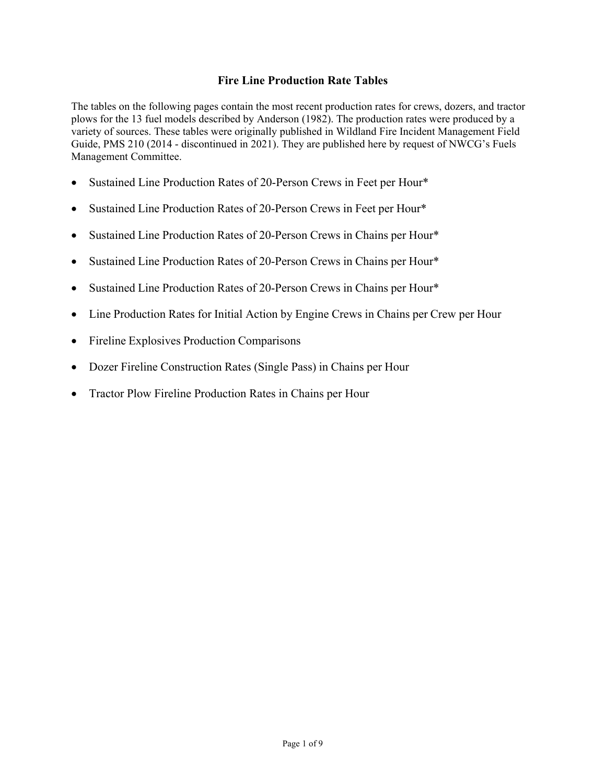#### **Fire Line Production Rate Tables**

The tables on the following pages contain the most recent production rates for crews, dozers, and tractor plows for the 13 fuel models described by Anderson (1982). The production rates were produced by a variety of sources. These tables were originally published in Wildland Fire Incident Management Field Guide, PMS 210 (2014 - discontinued in 2021). They are published here by request of NWCG's Fuels Management Committee.

- Sustained Line [Production](#page-1-0) Rates of 20-Person Crews in Feet per Hour\*
- Sustained Line [Production](#page-1-1) Rates of 20-Person Crews in Feet per Hour\*
- Sustained Line [Production](#page-2-0) Rates of 20-Person Crews in Chains per Hour\*
- Sustained Line [Production](#page-2-1) Rates of 20-Person Crews in Chains per Hour\*
- Sustained Line [Production](#page-2-1) Rates of 20-Person Crews in Chains per Hour\*
- Line Production Rates for [Initial Action](#page-4-0) by Engine Crews in Chains per Crew per Hour
- Fireline Explosives Production [Comparisons](#page-4-1)
- Dozer Fireline [Construction](#page-6-0) Rates (Single Pass) in Chains per Hour
- [Tractor Plow Fireline Production Rates in Chains per Hour](#page-8-0)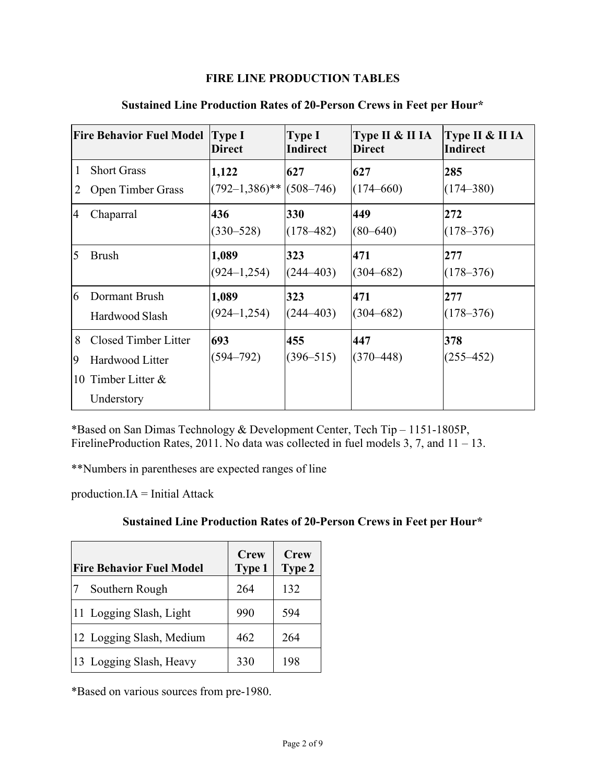## **FIRE LINE PRODUCTION TABLES**

<span id="page-1-0"></span>

|   | <b>Fire Behavior Fuel Model</b> | Type I<br><b>Direct</b>      | <b>Type I</b><br><b>Indirect</b> | Type II & II IA<br><b>Direct</b> | Type II & II IA<br>Indirect |
|---|---------------------------------|------------------------------|----------------------------------|----------------------------------|-----------------------------|
| 1 | <b>Short Grass</b>              | 1,122                        | 627                              | 627                              | 285                         |
| 2 | <b>Open Timber Grass</b>        | $(792-1,386)$ ** $(508-746)$ |                                  | $(174 - 660)$                    | $(174 - 380)$               |
| 4 | Chaparral                       | 436                          | 330                              | 449                              | 272                         |
|   |                                 | $(330 - 528)$                | $(178 - 482)$                    | $(80 - 640)$                     | $(178 - 376)$               |
| 5 | <b>Brush</b>                    | 1,089                        | 323                              | 471                              | 277                         |
|   |                                 | $(924 - 1, 254)$             | $(244 - 403)$                    | $(304 - 682)$                    | $(178 - 376)$               |
| 6 | Dormant Brush                   | 1,089                        | 323                              | 471                              | 277                         |
|   | Hardwood Slash                  | $(924 - 1, 254)$             | $(244 - 403)$                    | $(304 - 682)$                    | $(178 - 376)$               |
| 8 | Closed Timber Litter            | 693                          | 455                              | 447                              | 378                         |
| 9 | Hardwood Litter                 | $(594 - 792)$                | $(396 - 515)$                    | $(370 - 448)$                    | $(255 - 452)$               |
|   | 10 Timber Litter &              |                              |                                  |                                  |                             |
|   | Understory                      |                              |                                  |                                  |                             |

#### **Sustained Line Production Rates of 20-Person Crews in Feet per Hour\***

\*Based on San Dimas Technology & Development Center, Tech Tip – 1151-1805P, FirelineProduction Rates, 2011. No data was collected in fuel models 3, 7, and 11 – 13.

\*\*Numbers in parentheses are expected ranges of line

<span id="page-1-1"></span> $production.IA = Initial Attack$ 

### **Sustained Line Production Rates of 20-Person Crews in Feet per Hour\***

| <b>Fire Behavior Fuel Model</b> | <b>Crew</b><br>Type 1 | <b>Crew</b><br>Type 2 |
|---------------------------------|-----------------------|-----------------------|
| Southern Rough                  | 264                   | 132                   |
| 11 Logging Slash, Light         | 990                   | 594                   |
| 12 Logging Slash, Medium        | 462                   | 264                   |
| 13 Logging Slash, Heavy         | 330                   | 198                   |

\*Based on various sources from pre-1980.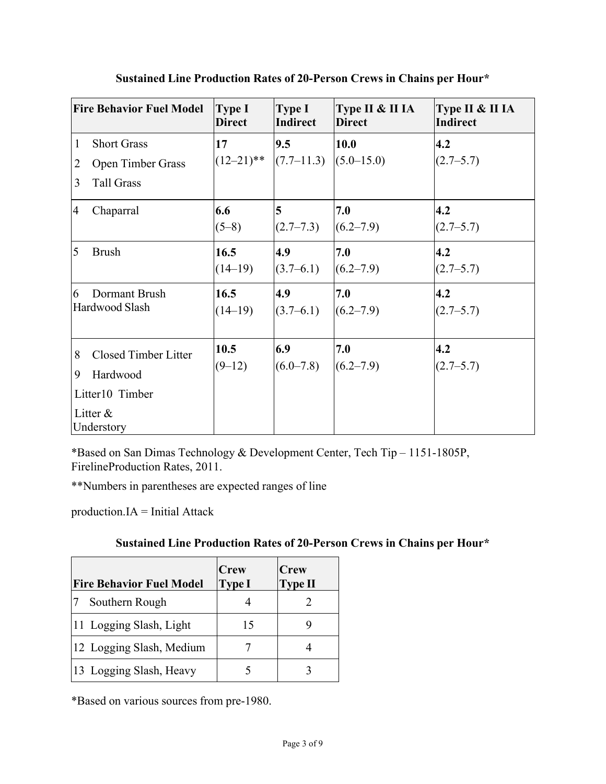<span id="page-2-0"></span>

| <b>Fire Behavior Fuel Model</b> |                                                                   | <b>Type I</b><br><b>Direct</b> | Type I<br>Indirect    | Type II & II IA<br><b>Direct</b> | Type II & II IA<br><b>Indirect</b> |
|---------------------------------|-------------------------------------------------------------------|--------------------------------|-----------------------|----------------------------------|------------------------------------|
| $\mathbf{1}$<br>2<br>3          | <b>Short Grass</b><br><b>Open Timber Grass</b><br>Tall Grass      | 17<br>$(12-21)$ **             | 9.5<br>$(7.7 - 11.3)$ | 10.0<br>$(5.0 - 15.0)$           | 4.2<br>$(2.7 - 5.7)$               |
| $\overline{4}$                  | Chaparral                                                         | 6.6<br>$(5-8)$                 | 5<br>$(2.7 - 7.3)$    | 7.0<br>(6.2–7.9)                 | 4.2<br>$(2.7-5.7)$                 |
| 5                               | <b>Brush</b>                                                      | 16.5<br>$(14-19)$              | 4.9<br>(3.7–6.1)      | 7.0<br>(6.2–7.9)                 | 4.2<br>$(2.7-5.7)$                 |
| 6                               | Dormant Brush<br>Hardwood Slash                                   | 16.5<br>$(14-19)$              | 4.9<br>(3.7–6.1)      | 7.0<br>(6.2–7.9)                 | 4.2<br>$(2.7 - 5.7)$               |
| 8<br>9<br>Litter $&$            | Closed Timber Litter<br>Hardwood<br>Litter10 Timber<br>Understory | 10.5<br>$(9-12)$               | 6.9<br>$(6.0 - 7.8)$  | 7.0<br>(6.2–7.9)                 | 4.2<br>$(2.7 - 5.7)$               |

**Sustained Line Production Rates of 20-Person Crews in Chains per Hour\***

\*Based on San Dimas Technology & Development Center, Tech Tip – 1151-1805P, FirelineProduction Rates, 2011.

\*\*Numbers in parentheses are expected ranges of line

production.IA = Initial Attack

| Sustained Line Production Rates of 20-Person Crews in Chains per Hour* |  |  |
|------------------------------------------------------------------------|--|--|
|                                                                        |  |  |

<span id="page-2-1"></span>

| <b>Fire Behavior Fuel Model</b> | <b>Crew</b><br><b>Type I</b> | Crew<br><b>Type II</b> |
|---------------------------------|------------------------------|------------------------|
| Southern Rough                  |                              |                        |
| 11 Logging Slash, Light         | 15                           |                        |
| 12 Logging Slash, Medium        |                              |                        |
| 13 Logging Slash, Heavy         |                              |                        |

\*Based on various sources from pre-1980.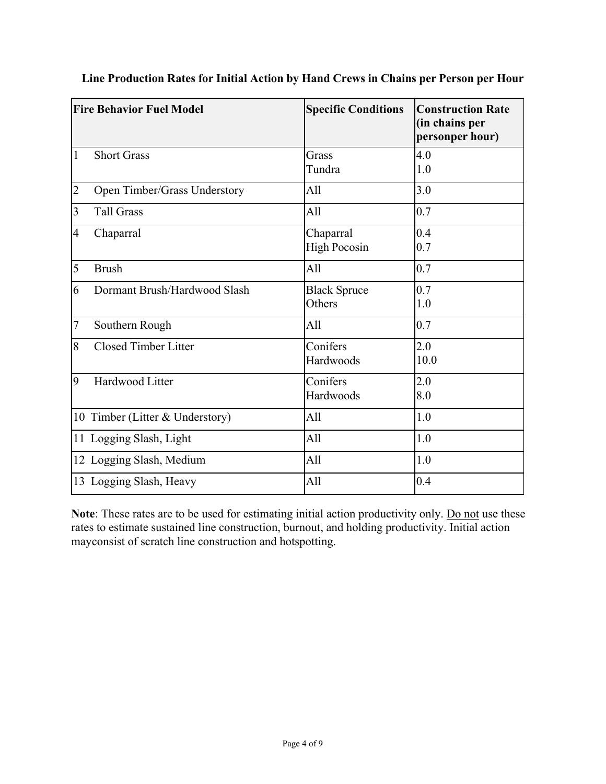|   | <b>Fire Behavior Fuel Model</b> | <b>Specific Conditions</b>       | <b>Construction Rate</b><br>(in chains per<br>personper hour) |
|---|---------------------------------|----------------------------------|---------------------------------------------------------------|
| 1 | <b>Short Grass</b>              | Grass<br>Tundra                  | 4.0<br>1.0                                                    |
| 2 | Open Timber/Grass Understory    | All                              | 3.0                                                           |
| 3 | <b>Tall Grass</b>               | All                              | 0.7                                                           |
| 4 | Chaparral                       | Chaparral<br><b>High Pocosin</b> | 0.4<br>0.7                                                    |
| 5 | <b>Brush</b>                    | All                              | 0.7                                                           |
| 6 | Dormant Brush/Hardwood Slash    | <b>Black Spruce</b><br>Others    | 0.7<br>1.0                                                    |
| 7 | Southern Rough                  | All                              | 0.7                                                           |
| 8 | <b>Closed Timber Litter</b>     | Conifers<br>Hardwoods            | 2.0<br>10.0                                                   |
| 9 | Hardwood Litter                 | Conifers<br>Hardwoods            | 2.0<br>8.0                                                    |
|   | 10 Timber (Litter & Understory) | All                              | 1.0                                                           |
|   | 11 Logging Slash, Light         | All                              | 1.0                                                           |
|   | 12 Logging Slash, Medium        | All                              | 1.0                                                           |
|   | 13 Logging Slash, Heavy         | All                              | 0.4                                                           |

## **Line Production Rates for Initial Action by Hand Crews in Chains per Person per Hour**

Note: These rates are to be used for estimating initial action productivity only. Do not use these rates to estimate sustained line construction, burnout, and holding productivity. Initial action mayconsist of scratch line construction and hotspotting.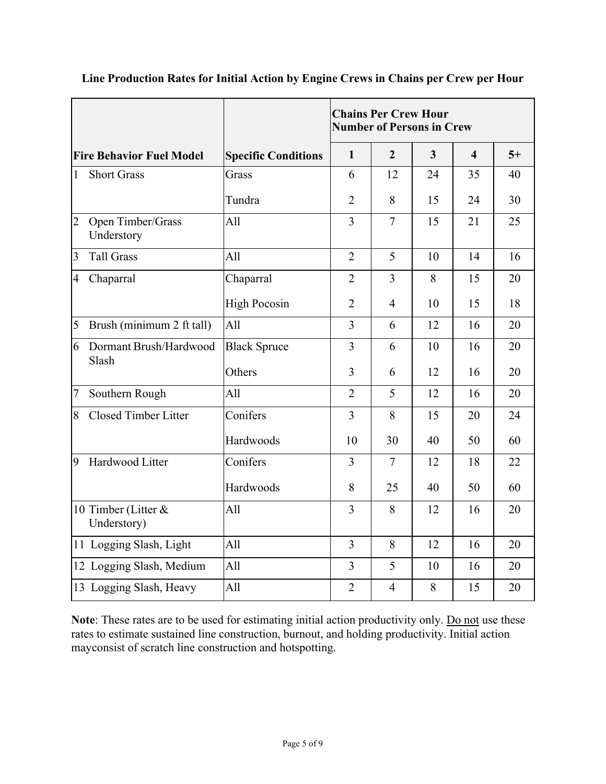|                |                                    |                            | <b>Chains Per Crew Hour</b><br><b>Number of Persons in Crew</b> |                |                |                         |      |
|----------------|------------------------------------|----------------------------|-----------------------------------------------------------------|----------------|----------------|-------------------------|------|
|                | <b>Fire Behavior Fuel Model</b>    | <b>Specific Conditions</b> | $\mathbf{1}$                                                    | $\overline{2}$ | $\overline{3}$ | $\overline{\mathbf{4}}$ | $5+$ |
| $\mathbf{1}$   | <b>Short Grass</b>                 | Grass                      | 6                                                               | 12             | 24             | 35                      | 40   |
|                |                                    | Tundra                     | $\overline{2}$                                                  | 8              | 15             | 24                      | 30   |
| $\overline{2}$ | Open Timber/Grass<br>Understory    | All                        | 3                                                               | $\overline{7}$ | 15             | 21                      | 25   |
| 3              | <b>Tall Grass</b>                  | All                        | $\overline{2}$                                                  | 5              | 10             | 14                      | 16   |
| $\overline{4}$ | Chaparral                          | Chaparral                  | $\overline{2}$                                                  | $\overline{3}$ | 8              | 15                      | 20   |
|                |                                    | <b>High Pocosin</b>        | $\overline{2}$                                                  | $\overline{4}$ | 10             | 15                      | 18   |
| 5              | Brush (minimum 2 ft tall)          | All                        | 3                                                               | 6              | 12             | 16                      | 20   |
| 6              | Dormant Brush/Hardwood<br>Slash    | <b>Black Spruce</b>        | $\overline{3}$                                                  | 6              | 10             | 16                      | 20   |
|                |                                    | Others                     | 3                                                               | 6              | 12             | 16                      | 20   |
| $\overline{7}$ | Southern Rough                     | All                        | $\overline{2}$                                                  | 5              | 12             | 16                      | 20   |
| 8              | <b>Closed Timber Litter</b>        | Conifers                   | $\overline{3}$                                                  | 8              | 15             | 20                      | 24   |
|                |                                    | Hardwoods                  | 10                                                              | 30             | 40             | 50                      | 60   |
| 9              | Hardwood Litter                    | Conifers                   | 3                                                               | $\overline{7}$ | 12             | 18                      | 22   |
|                |                                    | Hardwoods                  | 8                                                               | 25             | 40             | 50                      | 60   |
|                | 10 Timber (Litter &<br>Understory) | All                        | 3                                                               | 8              | 12             | 16                      | 20   |
|                | 11 Logging Slash, Light            | All                        | $\overline{3}$                                                  | 8              | 12             | 16                      | 20   |
|                | 12 Logging Slash, Medium           | All                        | $\overline{3}$                                                  | 5              | 10             | 16                      | 20   |
|                | 13 Logging Slash, Heavy            | All                        | $\overline{2}$                                                  | $\overline{4}$ | 8              | 15                      | 20   |

# <span id="page-4-0"></span>**Line Production Rates for Initial Action by Engine Crews in Chains per Crew per Hour**

<span id="page-4-1"></span>Note: These rates are to be used for estimating initial action productivity only. Do not use these rates to estimate sustained line construction, burnout, and holding productivity. Initial action mayconsist of scratch line construction and hotspotting.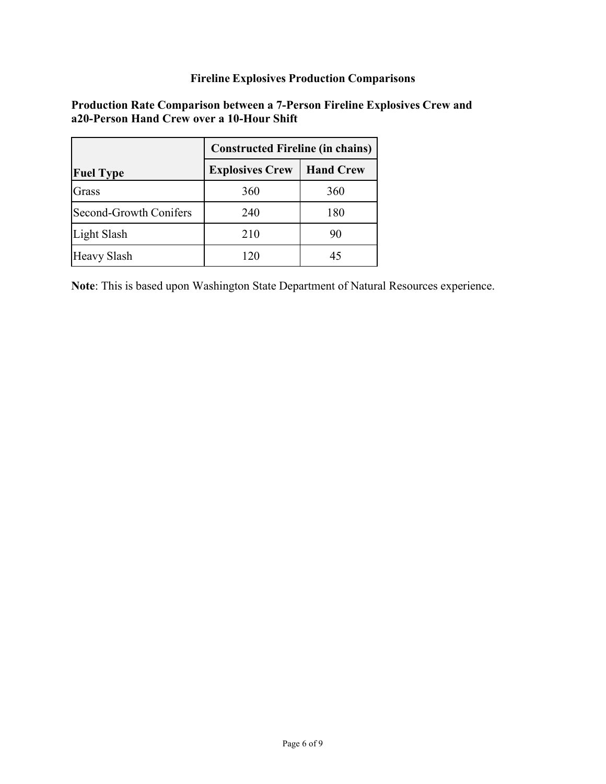## **Fireline Explosives Production Comparisons**

## **Production Rate Comparison between a 7-Person Fireline Explosives Crew and a20-Person Hand Crew over a 10-Hour Shift**

|                        | <b>Constructed Fireline (in chains)</b> |                  |  |  |  |
|------------------------|-----------------------------------------|------------------|--|--|--|
| <b>Fuel Type</b>       | <b>Explosives Crew</b>                  | <b>Hand Crew</b> |  |  |  |
| Grass                  | 360                                     | 360              |  |  |  |
| Second-Growth Conifers | 240                                     | 180              |  |  |  |
| Light Slash            | 210                                     | 90               |  |  |  |
| Heavy Slash            | 120                                     | 45               |  |  |  |

**Note**: This is based upon Washington State Department of Natural Resources experience.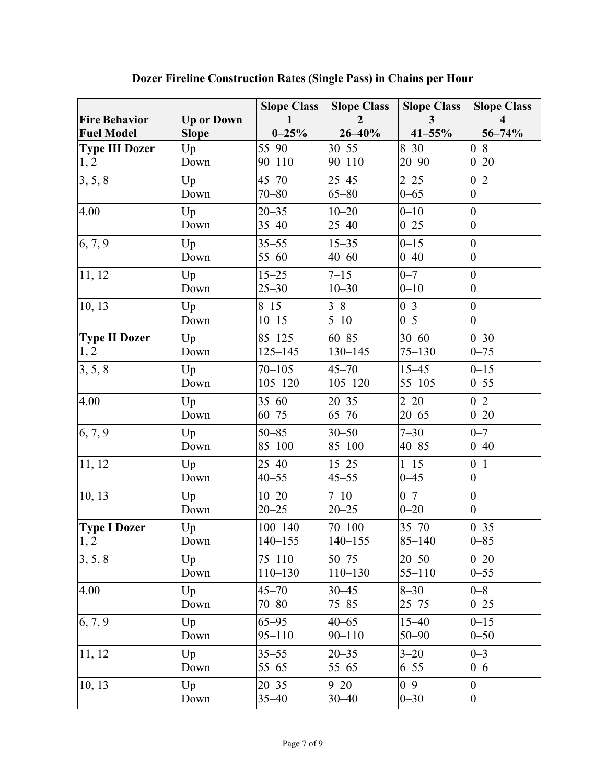<span id="page-6-0"></span>

|                   |              | <b>Slope Class</b>                                            |                                                                               | <b>Slope Class</b>                                                     |
|-------------------|--------------|---------------------------------------------------------------|-------------------------------------------------------------------------------|------------------------------------------------------------------------|
| <b>Up or Down</b> | 1            | $\overline{2}$                                                | 3                                                                             | $\overline{\bf{4}}$                                                    |
| <b>Slope</b>      | $0 - 25%$    | $26 - 40%$                                                    | $41 - 55%$                                                                    | $56 - 74%$                                                             |
| Up                | $55 - 90$    | $30 - 55$                                                     | $8 - 30$                                                                      | $0 - 8$                                                                |
| Down              | $90 - 110$   | $90 - 110$                                                    | $20 - 90$                                                                     | $0 - 20$                                                               |
| Up                | $45 - 70$    | $25 - 45$                                                     | $2 - 25$                                                                      | $0 - 2$                                                                |
| Down              | $70 - 80$    | $65 - 80$                                                     | $0 - 65$                                                                      | $\overline{0}$                                                         |
| Up                | $20 - 35$    | $10 - 20$                                                     | $0 - 10$                                                                      | $\overline{0}$                                                         |
| Down              | $35 - 40$    | $25 - 40$                                                     | $0 - 25$                                                                      | $\boldsymbol{0}$                                                       |
| Up                | $35 - 55$    | $15 - 35$                                                     | $0 - 15$                                                                      | $\overline{0}$                                                         |
| Down              | $55 - 60$    | $40 - 60$                                                     | $0 - 40$                                                                      | $\boldsymbol{0}$                                                       |
| Up                | $15 - 25$    | $7 - 15$                                                      | $0 - 7$                                                                       | $\overline{0}$                                                         |
| Down              | $25 - 30$    | $10 - 30$                                                     | $0 - 10$                                                                      | $\boldsymbol{0}$                                                       |
| Up                | $8 - 15$     | $3 - 8$                                                       | $0 - 3$                                                                       | $\overline{0}$                                                         |
| Down              | $10 - 15$    | $5 - 10$                                                      | $0 - 5$                                                                       | $\boldsymbol{0}$                                                       |
| Up                | $85 - 125$   | $60 - 85$                                                     | $30 - 60$                                                                     | $0 - 30$                                                               |
| Down              | $125 - 145$  | $130 - 145$                                                   | $75 - 130$                                                                    | $0 - 75$                                                               |
| Up                | $70 - 105$   | $45 - 70$                                                     | $15 - 45$                                                                     | $0 - 15$                                                               |
| Down              |              | $105 - 120$                                                   | $55 - 105$                                                                    | $0 - 55$                                                               |
| Up                | $35 - 60$    | $20 - 35$                                                     | $2 - 20$                                                                      | $0 - 2$                                                                |
|                   | $60 - 75$    |                                                               | $20 - 65$                                                                     | $0 - 20$                                                               |
| Up                | $50 - 85$    | $30 - 50$                                                     | $7 - 30$                                                                      | $0 - 7$                                                                |
| Down              | $85 - 100$   | $85 - 100$                                                    |                                                                               | $0 - 40$                                                               |
| Up                | $25 - 40$    | $15 - 25$                                                     | $1 - 15$                                                                      | $0 - 1$                                                                |
| Down              | $40 - 55$    |                                                               | $0 - 45$                                                                      | $\boldsymbol{0}$                                                       |
| Up                | $10 - 20$    | $7 - 10$                                                      | $0 - 7$                                                                       | $\overline{0}$                                                         |
| Down              | $20 - 25$    |                                                               |                                                                               | $\boldsymbol{0}$                                                       |
| Up                | $100 - 140$  | $70 - 100$                                                    | $35 - 70$                                                                     | $0 - 35$                                                               |
|                   |              | $140 - 155$                                                   |                                                                               | $0 - 85$                                                               |
| Up                | $75 - 110$   | $50 - 75$                                                     | $20 - 50$                                                                     | $0 - 20$                                                               |
| Down              | $110 - 130$  |                                                               | $55 - 110$                                                                    | $0 - 55$                                                               |
| Up                | $45 - 70$    | $30 - 45$                                                     | $8 - 30$                                                                      | $0 - 8$                                                                |
| Down              |              |                                                               |                                                                               | $0 - 25$                                                               |
| Up                | $65 - 95$    | $40 - 65$                                                     | $15 - 40$                                                                     | $0 - 15$                                                               |
| Down              | $95 - 110$   |                                                               | $50 - 90$                                                                     | $0 - 50$                                                               |
| Up                | $35 - 55$    | $20 - 35$                                                     | $3 - 20$                                                                      | $0 - 3$                                                                |
| Down              | $55 - 65$    | $55 - 65$                                                     | $6 - 55$                                                                      | $0 - 6$                                                                |
| Up                | $20 - 35$    | $9 - 20$                                                      | $0 - 9$                                                                       | $\boldsymbol{0}$                                                       |
| Down              | $35 - 40$    | $30 - 40$                                                     | $0 - 30$                                                                      | $\boldsymbol{0}$                                                       |
|                   | Down<br>Down | <b>Slope Class</b><br>$105 - 120$<br>$140 - 155$<br>$70 - 80$ | $65 - 76$<br>$45 - 55$<br>$20 - 25$<br>$110 - 130$<br>$75 - 85$<br>$90 - 110$ | <b>Slope Class</b><br>$40 - 85$<br>$0 - 20$<br>$85 - 140$<br>$25 - 75$ |

**Dozer Fireline Construction Rates (Single Pass) in Chains per Hour**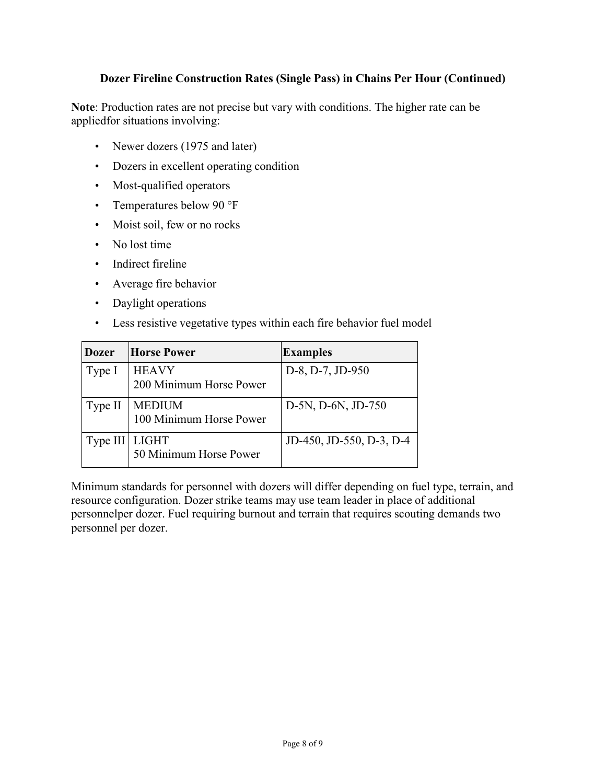## **Dozer Fireline Construction Rates (Single Pass) in Chains Per Hour (Continued)**

**Note**: Production rates are not precise but vary with conditions. The higher rate can be appliedfor situations involving:

- Newer dozers (1975 and later)
- Dozers in excellent operating condition
- Most-qualified operators
- Temperatures below 90 °F
- Moist soil, few or no rocks
- No lost time
- Indirect fireline
- Average fire behavior
- Daylight operations
- Less resistive vegetative types within each fire behavior fuel model

| Dozer    | <b>Horse Power</b>                       | <b>Examples</b>            |
|----------|------------------------------------------|----------------------------|
| Type I   | <b>HEAVY</b><br>200 Minimum Horse Power  | D-8, D-7, JD-950           |
| Type II  | <b>MEDIUM</b><br>100 Minimum Horse Power | $D-5N$ , $D-6N$ , $JD-750$ |
| Type III | LIGHT<br>50 Minimum Horse Power          | JD-450, JD-550, D-3, D-4   |

Minimum standards for personnel with dozers will differ depending on fuel type, terrain, and resource configuration. Dozer strike teams may use team leader in place of additional personnelper dozer. Fuel requiring burnout and terrain that requires scouting demands two personnel per dozer.